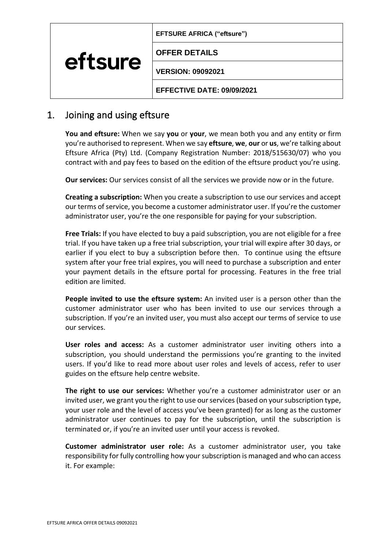| EFTSURE AFRICA ("eftsure") |  |
|----------------------------|--|
|----------------------------|--|

**OFFER DETAILS**

**VERSION: 09092021**

**EFFECTIVE DATE: 09/09/2021**

## 1. Joining and using eftsure

eftsure

**You and eftsure:** When we say **you** or **your**, we mean both you and any entity or firm you're authorised to represent. When we say **eftsure**, **we**, **our** or **us**, we're talking about Eftsure Africa (Pty) Ltd. (Company Registration Number: 2018/515630/07) who you contract with and pay fees to based on the edition of the eftsure product you're using.

**Our services:** Our services consist of all the services we provide now or in the future.

**Creating a subscription:** When you create a subscription to use our services and accept our terms of service, you become a customer administrator user. If you're the customer administrator user, you're the one responsible for paying for your subscription.

**Free Trials:** If you have elected to buy a paid subscription, you are not eligible for a free trial. If you have taken up a free trial subscription, your trial will expire after 30 days, or earlier if you elect to buy a subscription before then. To continue using the eftsure system after your free trial expires, you will need to purchase a subscription and enter your payment details in the eftsure portal for processing. Features in the free trial edition are limited.

**People invited to use the eftsure system:** An invited user is a person other than the customer administrator user who has been invited to use our services through a subscription. If you're an invited user, you must also accept our terms of service to use our services.

**User roles and access:** As a customer administrator user inviting others into a subscription, you should understand the permissions you're granting to the invited users. If you'd like to read more about user roles and levels of access, refer to user guides on the eftsure help centre website.

**The right to use our services:** Whether you're a customer administrator user or an invited user, we grant you the right to use our services (based on your subscription type, your user role and the level of access you've been granted) for as long as the customer administrator user continues to pay for the subscription, until the subscription is terminated or, if you're an invited user until your access is revoked.

**Customer administrator user role:** As a customer administrator user, you take responsibility for fully controlling how your subscription is managed and who can access it. For example: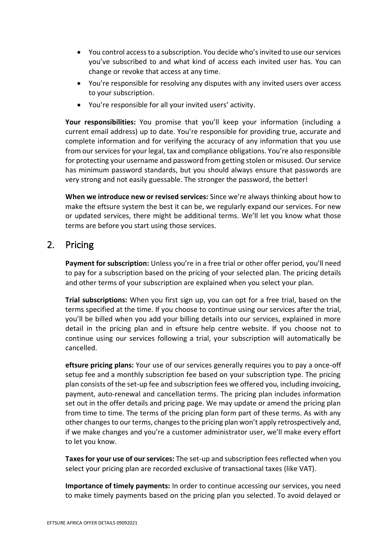- You control access to a subscription. You decide who's invited to use our services you've subscribed to and what kind of access each invited user has. You can change or revoke that access at any time.
- You're responsible for resolving any disputes with any invited users over access to your subscription.
- You're responsible for all your invited users' activity.

**Your responsibilities:** You promise that you'll keep your information (including a current email address) up to date. You're responsible for providing true, accurate and complete information and for verifying the accuracy of any information that you use from our services for your legal, tax and compliance obligations. You're also responsible for protecting your username and password from getting stolen or misused. Our service has minimum password standards, but you should always ensure that passwords are very strong and not easily guessable. The stronger the password, the better!

**When we introduce new or revised services:** Since we're always thinking about how to make the eftsure system the best it can be, we regularly expand our services. For new or updated services, there might be additional terms. We'll let you know what those terms are before you start using those services.

## 2. Pricing

**Payment for subscription:** Unless you're in a free trial or other offer period, you'll need to pay for a subscription based on the pricing of your selected plan. The pricing details and other terms of your subscription are explained when you select your plan.

**Trial subscriptions:** When you first sign up, you can opt for a free trial, based on the terms specified at the time. If you choose to continue using our services after the trial, you'll be billed when you add your billing details into our services, explained in more detail in the pricing plan and in eftsure help centre website. If you choose not to continue using our services following a trial, your subscription will automatically be cancelled.

**eftsure pricing plans:** Your use of our services generally requires you to pay a once-off setup fee and a monthly subscription fee based on your subscription type. The pricing plan consists of the set-up fee and subscription fees we offered you, including invoicing, payment, auto-renewal and cancellation terms. The pricing plan includes information set out in the offer details and pricing page. We may update or amend the pricing plan from time to time. The terms of the pricing plan form part of these terms. As with any other changes to our terms, changes to the pricing plan won't apply retrospectively and, if we make changes and you're a customer administrator user, we'll make every effort to let you know.

**Taxes for your use of our services:** The set-up and subscription fees reflected when you select your pricing plan are recorded exclusive of transactional taxes (like VAT).

**Importance of timely payments:** In order to continue accessing our services, you need to make timely payments based on the pricing plan you selected. To avoid delayed or